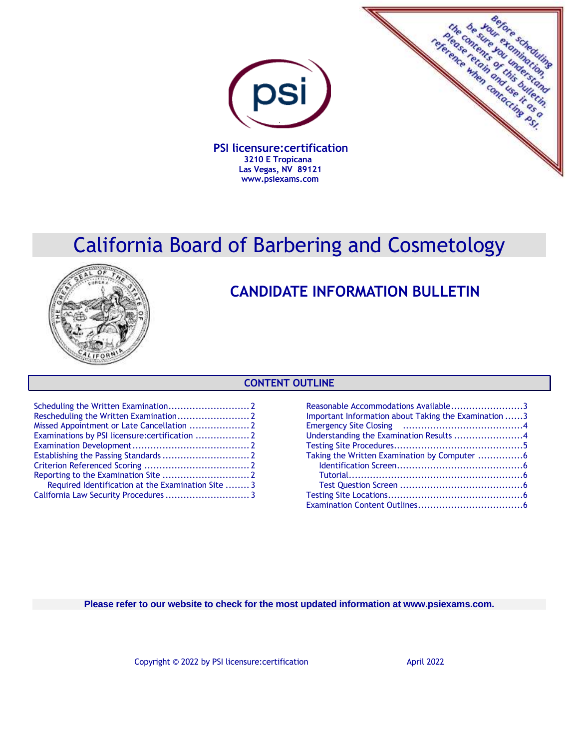

 **PSI licensure:certification 3210 E Tropicana Las Vegas, NV 89121 www.psiexams.com**



# California Board of Barbering and Cosmetology



## **CANDIDATE INFORMATION BULLETIN**

## **CONTENT OUTLINE**

| Required Identification at the Examination Site  3 |  |
|----------------------------------------------------|--|
|                                                    |  |
|                                                    |  |

| Reasonable Accommodations Available3                 |  |
|------------------------------------------------------|--|
| Important Information about Taking the Examination 3 |  |
|                                                      |  |
| Understanding the Examination Results 4              |  |
|                                                      |  |
| Taking the Written Examination by Computer 6         |  |
|                                                      |  |
|                                                      |  |
|                                                      |  |
|                                                      |  |
|                                                      |  |
|                                                      |  |

**Please refer to our website to check for the most updated information at www.psiexams.com.**

Copyright © 2022 by PSI licensure: certification April 2022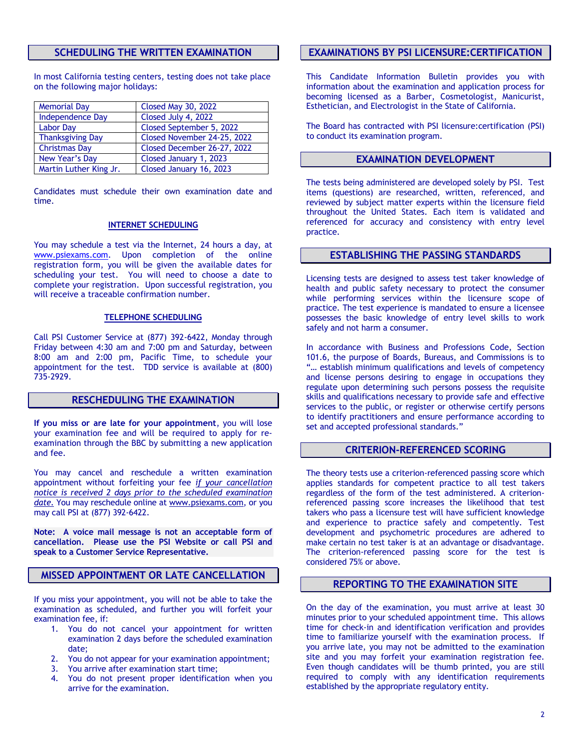## **SCHEDULING THE WRITTEN EXAMINATION**

In most California testing centers, testing does not take place on the following major holidays:

| <b>Memorial Day</b>     | <b>Closed May 30, 2022</b>  |
|-------------------------|-----------------------------|
| <b>Independence Day</b> | Closed July 4, 2022         |
| <b>Labor Day</b>        | Closed September 5, 2022    |
| <b>Thanksgiving Day</b> | Closed November 24-25, 2022 |
| <b>Christmas Day</b>    | Closed December 26-27, 2022 |
| New Year's Day          | Closed January 1, 2023      |
| Martin Luther King Jr.  | Closed January 16, 2023     |

Candidates must schedule their own examination date and time.

#### **INTERNET SCHEDULING**

You may schedule a test via the Internet, 24 hours a day, at [www.psiexams.com.](http://www.psiexams.com/) Upon completion of the online registration form, you will be given the available dates for scheduling your test. You will need to choose a date to complete your registration. Upon successful registration, you will receive a traceable confirmation number.

### **TELEPHONE SCHEDULING**

Call PSI Customer Service at (877) 392-6422, Monday through Friday between 4:30 am and 7:00 pm and Saturday, between 8:00 am and 2:00 pm, Pacific Time, to schedule your appointment for the test. TDD service is available at (800) 735-2929.

## **RESCHEDULING THE EXAMINATION**

**If you miss or are late for your appointment**, you will lose your examination fee and will be required to apply for reexamination through the BBC by submitting a new application and fee.

You may cancel and reschedule a written examination appointment without forfeiting your fee *if your cancellation notice is received 2 days prior to the scheduled examination date.* You may reschedule online at [www.psiexams.com,](http://www.psiexams.com/) or you may call PSI at (877) 392-6422.

**Note: A voice mail message is not an acceptable form of cancellation. Please use the PSI Website or call PSI and speak to a Customer Service Representative.**

## **MISSED APPOINTMENT OR LATE CANCELLATION**

If you miss your appointment, you will not be able to take the examination as scheduled, and further you will forfeit your examination fee, if:

- 1. You do not cancel your appointment for written examination 2 days before the scheduled examination date;
- 2. You do not appear for your examination appointment;
- 3. You arrive after examination start time;
- 4. You do not present proper identification when you arrive for the examination.

## **EXAMINATIONS BY PSI LICENSURE:CERTIFICATION**

This Candidate Information Bulletin provides you with information about the examination and application process for becoming licensed as a Barber, Cosmetologist, Manicurist, Esthetician, and Electrologist in the State of California.

The Board has contracted with PSI licensure:certification (PSI) to conduct its examination program.

### **EXAMINATION DEVELOPMENT**

The tests being administered are developed solely by PSI. Test items (questions) are researched, written, referenced, and reviewed by subject matter experts within the licensure field throughout the United States. Each item is validated and referenced for accuracy and consistency with entry level practice.

## **ESTABLISHING THE PASSING STANDARDS**

Licensing tests are designed to assess test taker knowledge of health and public safety necessary to protect the consumer while performing services within the licensure scope of practice. The test experience is mandated to ensure a licensee possesses the basic knowledge of entry level skills to work safely and not harm a consumer.

In accordance with Business and Professions Code, Section 101.6, the purpose of Boards, Bureaus, and Commissions is to "… establish minimum qualifications and levels of competency and license persons desiring to engage in occupations they regulate upon determining such persons possess the requisite skills and qualifications necessary to provide safe and effective services to the public, or register or otherwise certify persons to identify practitioners and ensure performance according to set and accepted professional standards."

#### **CRITERION-REFERENCED SCORING**

The theory tests use a criterion-referenced passing score which applies standards for competent practice to all test takers regardless of the form of the test administered. A criterionreferenced passing score increases the likelihood that test takers who pass a licensure test will have sufficient knowledge and experience to practice safely and competently. Test development and psychometric procedures are adhered to make certain no test taker is at an advantage or disadvantage. The criterion-referenced passing score for the test is considered 75% or above.

## **REPORTING TO THE EXAMINATION SITE**

On the day of the examination, you must arrive at least 30 minutes prior to your scheduled appointment time. This allows time for check-in and identification verification and provides time to familiarize yourself with the examination process. If you arrive late, you may not be admitted to the examination site and you may forfeit your examination registration fee. Even though candidates will be thumb printed, you are still required to comply with any identification requirements established by the appropriate regulatory entity.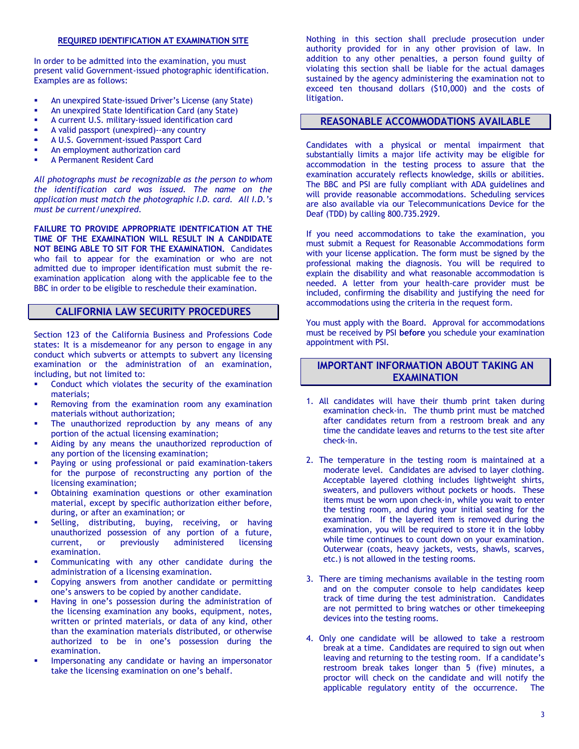#### **REQUIRED IDENTIFICATION AT EXAMINATION SITE**

In order to be admitted into the examination, you must present valid Government-issued photographic identification. Examples are as follows:

- An unexpired State-issued Driver's License (any State)
- An unexpired State Identification Card (any State)
- A current U.S. military-issued identification card
- A valid passport (unexpired)--any country
- A U.S. Government-issued Passport Card
- An employment authorization card
- A Permanent Resident Card

*All photographs must be recognizable as the person to whom the identification card was issued. The name on the application must match the photographic I.D. card. All I.D.'s must be current/unexpired.*

**FAILURE TO PROVIDE APPROPRIATE IDENTFICATION AT THE TIME OF THE EXAMINATION WILL RESULT IN A CANDIDATE NOT BEING ABLE TO SIT FOR THE EXAMINATION.** Candidates who fail to appear for the examination or who are not admitted due to improper identification must submit the reexamination application along with the applicable fee to the BBC in order to be eligible to reschedule their examination.

## **CALIFORNIA LAW SECURITY PROCEDURES**

Section 123 of the California Business and Professions Code states: It is a misdemeanor for any person to engage in any conduct which subverts or attempts to subvert any licensing examination or the administration of an examination, including, but not limited to:

- Conduct which violates the security of the examination materials;
- Removing from the examination room any examination materials without authorization;
- The unauthorized reproduction by any means of any portion of the actual licensing examination;
- Aiding by any means the unauthorized reproduction of any portion of the licensing examination;
- Paying or using professional or paid examination-takers for the purpose of reconstructing any portion of the licensing examination;
- Obtaining examination questions or other examination material, except by specific authorization either before, during, or after an examination; or
- Selling, distributing, buying, receiving, or having unauthorized possession of any portion of a future, current, or previously administered licensing examination.
- Communicating with any other candidate during the administration of a licensing examination.
- Copying answers from another candidate or permitting one's answers to be copied by another candidate.
- Having in one's possession during the administration of the licensing examination any books, equipment, notes, written or printed materials, or data of any kind, other than the examination materials distributed, or otherwise authorized to be in one's possession during the examination.
- Impersonating any candidate or having an impersonator take the licensing examination on one's behalf.

Nothing in this section shall preclude prosecution under authority provided for in any other provision of law. In addition to any other penalties, a person found guilty of violating this section shall be liable for the actual damages sustained by the agency administering the examination not to exceed ten thousand dollars (\$10,000) and the costs of litigation.

## **REASONABLE ACCOMMODATIONS AVAILABLE**

Candidates with a physical or mental impairment that substantially limits a major life activity may be eligible for accommodation in the testing process to assure that the examination accurately reflects knowledge, skills or abilities. The BBC and PSI are fully compliant with ADA guidelines and will provide reasonable accommodations. Scheduling services are also available via our Telecommunications Device for the Deaf (TDD) by calling 800.735.2929.

If you need accommodations to take the examination, you must submit a Request for Reasonable Accommodations form with your license application. The form must be signed by the professional making the diagnosis. You will be required to explain the disability and what reasonable accommodation is needed. A letter from your health-care provider must be included, confirming the disability and justifying the need for accommodations using the criteria in the request form.

You must apply with the Board. Approval for accommodations must be received by PSI **before** you schedule your examination appointment with PSI.

## **IMPORTANT INFORMATION ABOUT TAKING AN EXAMINATION**

- 1. All candidates will have their thumb print taken during examination check-in. The thumb print must be matched after candidates return from a restroom break and any time the candidate leaves and returns to the test site after check-in.
- 2. The temperature in the testing room is maintained at a moderate level. Candidates are advised to layer clothing. Acceptable layered clothing includes lightweight shirts, sweaters, and pullovers without pockets or hoods. These items must be worn upon check-in, while you wait to enter the testing room, and during your initial seating for the examination. If the layered item is removed during the examination, you will be required to store it in the lobby while time continues to count down on your examination. Outerwear (coats, heavy jackets, vests, shawls, scarves, etc.) is not allowed in the testing rooms.
- 3. There are timing mechanisms available in the testing room and on the computer console to help candidates keep track of time during the test administration. Candidates are not permitted to bring watches or other timekeeping devices into the testing rooms.
- 4. Only one candidate will be allowed to take a restroom break at a time. Candidates are required to sign out when leaving and returning to the testing room. If a candidate's restroom break takes longer than 5 (five) minutes, a proctor will check on the candidate and will notify the applicable regulatory entity of the occurrence. The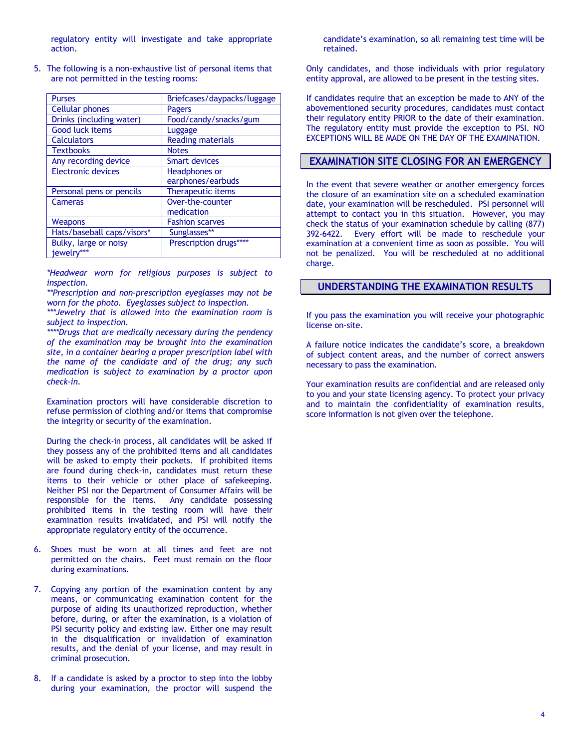regulatory entity will investigate and take appropriate action.

5. The following is a non-exhaustive list of personal items that are not permitted in the testing rooms:

| <b>Purses</b>              | Briefcases/daypacks/luggage |
|----------------------------|-----------------------------|
| <b>Cellular phones</b>     | Pagers                      |
| Drinks (including water)   | Food/candy/snacks/gum       |
| <b>Good luck items</b>     | Luggage                     |
| <b>Calculators</b>         | <b>Reading materials</b>    |
| <b>Textbooks</b>           | <b>Notes</b>                |
| Any recording device       | <b>Smart devices</b>        |
| Electronic devices         | Headphones or               |
|                            | earphones/earbuds           |
| Personal pens or pencils   | Therapeutic items           |
| Cameras                    | Over-the-counter            |
|                            | medication                  |
| <b>Weapons</b>             | <b>Fashion scarves</b>      |
| Hats/baseball caps/visors* | Sunglasses**                |
| Bulky, large or noisy      | Prescription drugs****      |
| jewelry***                 |                             |

*\*Headwear worn for religious purposes is subject to inspection.*

*\*\*Prescription and non-prescription eyeglasses may not be worn for the photo. Eyeglasses subject to inspection.*

*\*\*\*Jewelry that is allowed into the examination room is subject to inspection.*

*\*\*\*\*Drugs that are medically necessary during the pendency of the examination may be brought into the examination site, in a container bearing a proper prescription label with the name of the candidate and of the drug; any such medication is subject to examination by a proctor upon check-in.*

Examination proctors will have considerable discretion to refuse permission of clothing and/or items that compromise the integrity or security of the examination.

During the check-in process, all candidates will be asked if they possess any of the prohibited items and all candidates will be asked to empty their pockets. If prohibited items are found during check-in, candidates must return these items to their vehicle or other place of safekeeping. Neither PSI nor the Department of Consumer Affairs will be responsible for the items. Any candidate possessing prohibited items in the testing room will have their examination results invalidated, and PSI will notify the appropriate regulatory entity of the occurrence.

- 6. Shoes must be worn at all times and feet are not permitted on the chairs. Feet must remain on the floor during examinations.
- 7. Copying any portion of the examination content by any means, or communicating examination content for the purpose of aiding its unauthorized reproduction, whether before, during, or after the examination, is a violation of PSI security policy and existing law. Either one may result in the disqualification or invalidation of examination results, and the denial of your license, and may result in criminal prosecution.
- 8. If a candidate is asked by a proctor to step into the lobby during your examination, the proctor will suspend the

candidate's examination, so all remaining test time will be retained.

Only candidates, and those individuals with prior regulatory entity approval, are allowed to be present in the testing sites.

If candidates require that an exception be made to ANY of the abovementioned security procedures, candidates must contact their regulatory entity PRIOR to the date of their examination. The regulatory entity must provide the exception to PSI. NO EXCEPTIONS WILL BE MADE ON THE DAY OF THE EXAMINATION.

## **EXAMINATION SITE CLOSING FOR AN EMERGENCY**

In the event that severe weather or another emergency forces the closure of an examination site on a scheduled examination date, your examination will be rescheduled. PSI personnel will attempt to contact you in this situation. However, you may check the status of your examination schedule by calling (877) 392-6422. Every effort will be made to reschedule your examination at a convenient time as soon as possible. You will not be penalized. You will be rescheduled at no additional charge.

## **UNDERSTANDING THE EXAMINATION RESULTS**

If you pass the examination you will receive your photographic license on-site.

A failure notice indicates the candidate's score, a breakdown of subject content areas, and the number of correct answers necessary to pass the examination.

Your examination results are confidential and are released only to you and your state licensing agency. To protect your privacy and to maintain the confidentiality of examination results, score information is not given over the telephone.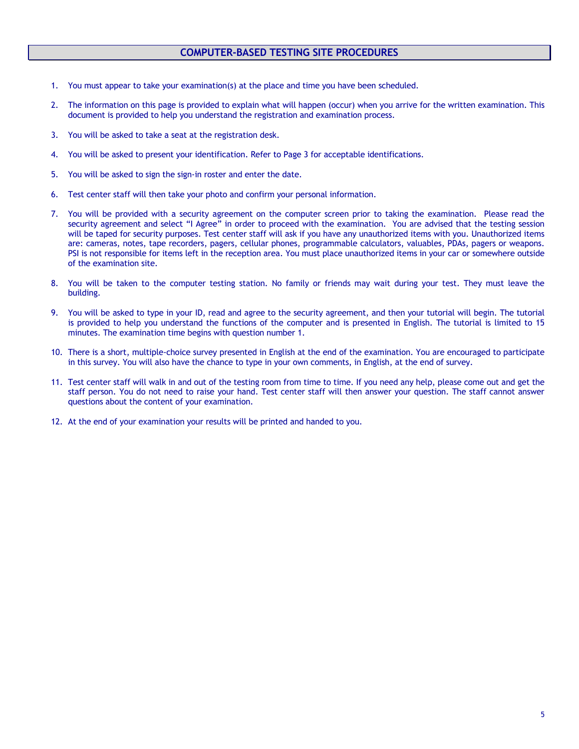## **COMPUTER-BASED TESTING SITE PROCEDURES**

- 1. You must appear to take your examination(s) at the place and time you have been scheduled.
- 2. The information on this page is provided to explain what will happen (occur) when you arrive for the written examination. This document is provided to help you understand the registration and examination process.
- 3. You will be asked to take a seat at the registration desk.
- 4. You will be asked to present your identification. Refer to Page 3 for acceptable identifications.
- 5. You will be asked to sign the sign-in roster and enter the date.
- 6. Test center staff will then take your photo and confirm your personal information.
- 7. You will be provided with a security agreement on the computer screen prior to taking the examination. Please read the security agreement and select "I Agree" in order to proceed with the examination. You are advised that the testing session will be taped for security purposes. Test center staff will ask if you have any unauthorized items with you. Unauthorized items are: cameras, notes, tape recorders, pagers, cellular phones, programmable calculators, valuables, PDAs, pagers or weapons. PSI is not responsible for items left in the reception area. You must place unauthorized items in your car or somewhere outside of the examination site.
- 8. You will be taken to the computer testing station. No family or friends may wait during your test. They must leave the building.
- 9. You will be asked to type in your ID, read and agree to the security agreement, and then your tutorial will begin. The tutorial is provided to help you understand the functions of the computer and is presented in English. The tutorial is limited to 15 minutes. The examination time begins with question number 1.
- 10. There is a short, multiple-choice survey presented in English at the end of the examination. You are encouraged to participate in this survey. You will also have the chance to type in your own comments, in English, at the end of survey.
- 11. Test center staff will walk in and out of the testing room from time to time. If you need any help, please come out and get the staff person. You do not need to raise your hand. Test center staff will then answer your question. The staff cannot answer questions about the content of your examination.
- 12. At the end of your examination your results will be printed and handed to you.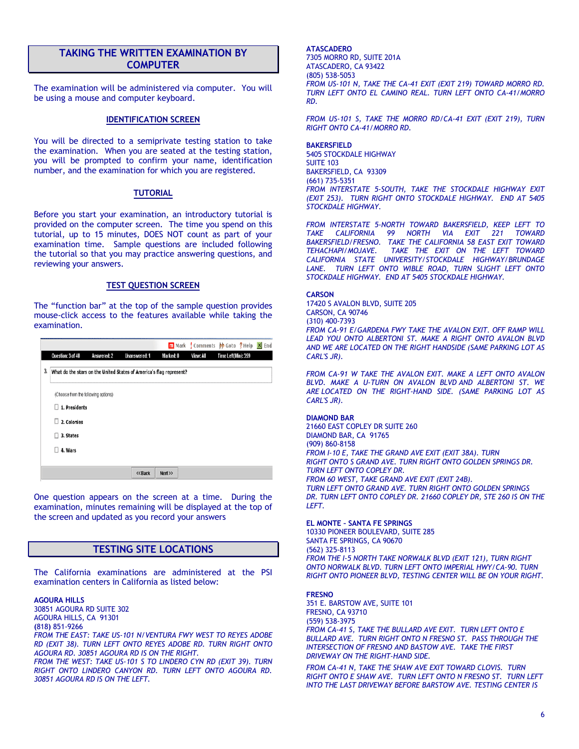## **TAKING THE WRITTEN EXAMINATION BY COMPUTER**

The examination will be administered via computer. You will be using a mouse and computer keyboard.

#### **IDENTIFICATION SCREEN**

You will be directed to a semiprivate testing station to take the examination. When you are seated at the testing station, you will be prompted to confirm your name, identification number, and the examination for which you are registered.

#### **TUTORIAL**

Before you start your examination, an introductory tutorial is provided on the computer screen. The time you spend on this tutorial, up to 15 minutes, DOES NOT count as part of your examination time. Sample questions are included following the tutorial so that you may practice answering questions, and reviewing your answers.

#### **TEST QUESTION SCREEN**

The "function bar" at the top of the sample question provides mouse-click access to the features available while taking the examination.

|    |                                     |             |                                                                     |           | m Mark Comments | <b>b</b> Goto ? Help X End |  |
|----|-------------------------------------|-------------|---------------------------------------------------------------------|-----------|-----------------|----------------------------|--|
|    | Question: 3 of 40                   | Answered: 2 | <b>Unanswered: 1</b>                                                | Marked: 0 | View: All       | Time Left(Min): 359        |  |
| 3, |                                     |             | What do the stars on the United States of America's flag represent? |           |                 |                            |  |
|    | (Choose from the following options) |             |                                                                     |           |                 |                            |  |
|    | 1. Presidents<br>п                  |             |                                                                     |           |                 |                            |  |
|    | п<br>2. Colonies                    |             |                                                                     |           |                 |                            |  |
|    | 3. States<br>П                      |             |                                                                     |           |                 |                            |  |
|    | 4. Wars<br>п                        |             |                                                                     |           |                 |                            |  |
|    |                                     |             |                                                                     |           |                 |                            |  |
|    |                                     |             | << Back                                                             | Next      |                 |                            |  |

One question appears on the screen at a time. During the examination, minutes remaining will be displayed at the top of the screen and updated as you record your answers

## **TESTING SITE LOCATIONS**

The California examinations are administered at the PSI examination centers in California as listed below:

#### **AGOURA HILLS**

30851 AGOURA RD SUITE 302 AGOURA HILLS, CA 91301 **(**818**)** 851-9266 *FROM THE EAST: TAKE US-101 N/VENTURA FWY WEST TO REYES ADOBE RD (EXIT 38). TURN LEFT ONTO REYES ADOBE RD. TURN RIGHT ONTO AGOURA RD. 30851 AGOURA RD IS ON THE RIGHT.* 

*FROM THE WEST: TAKE US-101 S TO LINDERO CYN RD (EXIT 39). TURN RIGHT ONTO LINDERO CANYON RD. TURN LEFT ONTO AGOURA RD. 30851 AGOURA RD IS ON THE LEFT.*

#### **ATASCADERO**

7305 MORRO RD, SUITE 201A ATASCADERO, CA 93422 (805) 538-5053 *FROM US-101 N, TAKE THE CA-41 EXIT (EXIT 219) TOWARD MORRO RD. TURN LEFT ONTO EL CAMINO REAL. TURN LEFT ONTO CA-41/MORRO RD.*

*FROM US-101 S, TAKE THE MORRO RD/CA-41 EXIT (EXIT 219), TURN RIGHT ONTO CA-41/MORRO RD.*

#### **BAKERSFIELD**

5405 STOCKDALE HIGHWAY SUITE 103 BAKERSFIELD, CA 93309 (661) 735-5351 *FROM INTERSTATE 5-SOUTH, TAKE THE STOCKDALE HIGHWAY EXIT (EXIT 253). TURN RIGHT ONTO STOCKDALE HIGHWAY. END AT 5405 STOCKDALE HIGHWAY.* 

*FROM INTERSTATE 5-NORTH TOWARD BAKERSFIELD, KEEP LEFT TO TAKE CALIFORNIA 99 NORTH VIA EXIT 221 TOWARD BAKERSFIELD/FRESNO. TAKE THE CALIFORNIA 58 EAST EXIT TOWARD TEHACHAPI/MOJAVE. TAKE THE EXIT ON THE LEFT TOWARD CALIFORNIA STATE UNIVERSITY/STOCKDALE HIGHWAY/BRUNDAGE LANE. TURN LEFT ONTO WIBLE ROAD, TURN SLIGHT LEFT ONTO STOCKDALE HIGHWAY. END AT 5405 STOCKDALE HIGHWAY.*

**CARSON**

17420 S AVALON BLVD, SUITE 205 CARSON, CA 90746 (310) 400-7393 *FROM CA-91 E/GARDENA FWY TAKE THE AVALON EXIT. OFF RAMP WILL*  **LEAD YOU ONTO ALBERTONI ST. MAKE A RIGHT ONTO AVALON BLVD** *AND WE ARE LOCATED ON THE RIGHT HANDSIDE (SAME PARKING LOT AS CARL'S JR).*

FROM CA-91 W TAKE THE AVALON EXIT. MAKE A LEFT ONTO AVALON *BLVD. MAKE A U-TURN ON AVALON BLVD AND ALBERTONI ST. WE ARE LOCATED ON THE RIGHT-HAND SIDE. (SAME PARKING LOT AS CARL'S JR).*

#### **DIAMOND BAR**

21660 EAST COPLEY DR SUITE 260 DIAMOND BAR, CA 91765 (909) 860-8158 *FROM I-10 E, TAKE THE GRAND AVE EXIT (EXIT 38A). TURN RIGHT ONTO S GRAND AVE. TURN RIGHT ONTO GOLDEN SPRINGS DR. TURN LEFT ONTO COPLEY DR. FROM 60 WEST, TAKE GRAND AVE EXIT (EXIT 24B). TURN LEFT ONTO GRAND AVE. TURN RIGHT ONTO GOLDEN SPRINGS DR. TURN LEFT ONTO COPLEY DR. 21660 COPLEY DR, STE 260 IS ON THE LEFT.*

#### **EL MONTE – SANTA FE SPRINGS**

10330 PIONEER BOULEVARD, SUITE 285 SANTA FE SPRINGS, CA 90670 (562) 325-8113 *FROM THE I-5 NORTH TAKE NORWALK BLVD (EXIT 121), TURN RIGHT ONTO NORWALK BLVD. TURN LEFT ONTO IMPERIAL HWY/CA-90. TURN RIGHT ONTO PIONEER BLVD, TESTING CENTER WILL BE ON YOUR RIGHT.*

#### **FRESNO**

351 E. BARSTOW AVE, SUITE 101 FRESNO, CA 93710 (559) 538-3975 *FROM CA-41 S, TAKE THE BULLARD AVE EXIT. TURN LEFT ONTO E BULLARD AVE. TURN RIGHT ONTO N FRESNO ST. PASS THROUGH THE INTERSECTION OF FRESNO AND BASTOW AVE. TAKE THE FIRST DRIVEWAY ON THE RIGHT-HAND SIDE.*

*FROM CA-41 N, TAKE THE SHAW AVE EXIT TOWARD CLOVIS. TURN RIGHT ONTO E SHAW AVE. TURN LEFT ONTO N FRESNO ST. TURN LEFT INTO THE LAST DRIVEWAY BEFORE BARSTOW AVE. TESTING CENTER IS*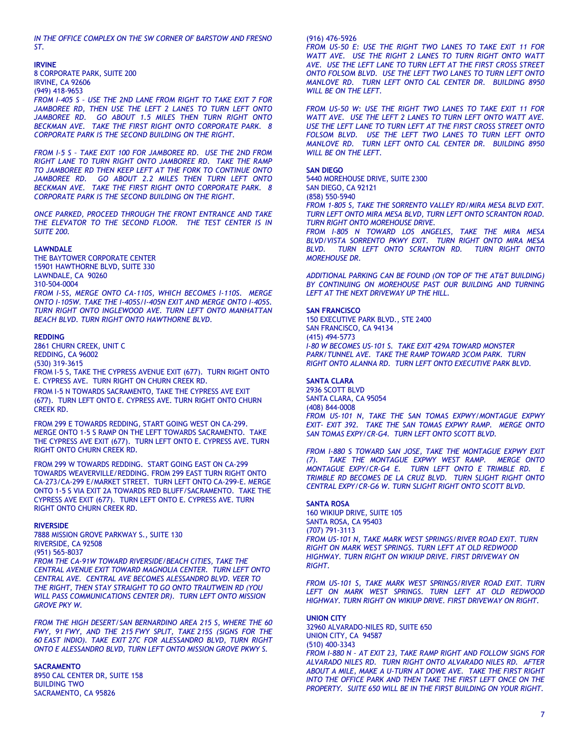*IN THE OFFICE COMPLEX ON THE SW CORNER OF BARSTOW AND FRESNO ST.*

#### **IRVINE**

8 CORPORATE PARK, SUITE 200 IRVINE, CA 92606 (949) 418-9653

*FROM I-405 S – USE THE 2ND LANE FROM RIGHT TO TAKE EXIT 7 FOR JAMBOREE RD, THEN USE THE LEFT 2 LANES TO TURN LEFT ONTO*  JAMBOREE RD. GO ABOUT 1.5 MILES THEN TURN RIGHT ONTO *BECKMAN AVE. TAKE THE FIRST RIGHT ONTO CORPORATE PARK. 8 CORPORATE PARK IS THE SECOND BUILDING ON THE RIGHT.* 

*FROM I-5 S – TAKE EXIT 100 FOR JAMBOREE RD. USE THE 2ND FROM RIGHT LANE TO TURN RIGHT ONTO JAMBOREE RD. TAKE THE RAMP TO JAMBOREE RD THEN KEEP LEFT AT THE FORK TO CONTINUE ONTO*  JAMBOREE RD. GO ABOUT 2.2 MILES THEN TURN LEFT ONTO *BECKMAN AVE. TAKE THE FIRST RIGHT ONTO CORPORATE PARK. 8 CORPORATE PARK IS THE SECOND BUILDING ON THE RIGHT.*

*ONCE PARKED, PROCEED THROUGH THE FRONT ENTRANCE AND TAKE THE ELEVATOR TO THE SECOND FLOOR. THE TEST CENTER IS IN SUITE 200.*

#### **LAWNDALE**

THE BAYTOWER CORPORATE CENTER 15901 HAWTHORNE BLVD, SUITE 330 LAWNDALE, CA 90260 310-504-0004 *FROM I-5S, MERGE ONTO CA-110S, WHICH BECOMES I-110S. MERGE ONTO I-105W. TAKE THE I-405S/I-405N EXIT AND MERGE ONTO I-405S. TURN RIGHT ONTO INGLEWOOD AVE. TURN LEFT ONTO MANHATTAN BEACH BLVD. TURN RIGHT ONTO HAWTHORNE BLVD.*

#### **REDDING**

2861 CHURN CREEK, UNIT C REDDING, CA 96002 (530) 319-3615 FROM I-5 S, TAKE THE CYPRESS AVENUE EXIT (677). TURN RIGHT ONTO E. CYPRESS AVE. TURN RIGHT ON CHURN CREEK RD.

FROM I-5 N TOWARDS SACRAMENTO, TAKE THE CYPRESS AVE EXIT (677). TURN LEFT ONTO E. CYPRESS AVE. TURN RIGHT ONTO CHURN CREEK RD.

FROM 299 E TOWARDS REDDING, START GOING WEST ON CA-299. MERGE ONTO 1-5 S RAMP ON THE LEFT TOWARDS SACRAMENTO. TAKE THE CYPRESS AVE EXIT (677). TURN LEFT ONTO E. CYPRESS AVE. TURN RIGHT ONTO CHURN CREEK RD.

FROM 299 W TOWARDS REDDING. START GOING EAST ON CA-299 TOWARDS WEAVERVILLE/REDDING. FROM 299 EAST TURN RIGHT ONTO CA-273/CA-299 E/MARKET STREET. TURN LEFT ONTO CA-299-E. MERGE ONTO 1-5 S VIA EXIT 2A TOWARDS RED BLUFF/SACRAMENTO. TAKE THE CYPRESS AVE EXIT (677). TURN LEFT ONTO E. CYPRESS AVE. TURN RIGHT ONTO CHURN CREEK RD.

#### **RIVERSIDE**

7888 MISSION GROVE PARKWAY S., SUITE 130 RIVERSIDE, CA 92508 (951) 565-8037 *FROM THE CA-91W TOWARD RIVERSIDE/BEACH CITIES, TAKE THE CENTRAL AVENUE EXIT TOWARD MAGNOLIA CENTER. TURN LEFT ONTO CENTRAL AVE. CENTRAL AVE BECOMES ALESSANDRO BLVD. VEER TO THE RIGHT, THEN STAY STRAIGHT TO GO ONTO TRAUTWEIN RD (YOU* 

*WILL PASS COMMUNICATIONS CENTER DR). TURN LEFT ONTO MISSION GROVE PKY W.*

*FROM THE HIGH DESERT/SAN BERNARDINO AREA 215 S, WHERE THE 60 FWY, 91 FWY, AND THE 215 FWY SPLIT, TAKE 215S (SIGNS FOR THE 60 EAST INDIO). TAKE EXIT 27C FOR ALESSANDRO BLVD, TURN RIGHT ONTO E ALESSANDRO BLVD, TURN LEFT ONTO MISSION GROVE PKWY S.*

#### **SACRAMENTO**

8950 CAL CENTER DR, SUITE 158 BUILDING TWO SACRAMENTO, CA 95826

#### (916) 476-5926

*FROM US-50 E: USE THE RIGHT TWO LANES TO TAKE EXIT 11 FOR WATT AVE. USE THE RIGHT 2 LANES TO TURN RIGHT ONTO WATT AVE. USE THE LEFT LANE TO TURN LEFT AT THE FIRST CROSS STREET ONTO FOLSOM BLVD. USE THE LEFT TWO LANES TO TURN LEFT ONTO MANLOVE RD. TURN LEFT ONTO CAL CENTER DR. BUILDING 8950 WILL BE ON THE LEFT.*

*FROM US-50 W: USE THE RIGHT TWO LANES TO TAKE EXIT 11 FOR WATT AVE. USE THE LEFT 2 LANES TO TURN LEFT ONTO WATT AVE. USE THE LEFT LANE TO TURN LEFT AT THE FIRST CROSS STREET ONTO FOLSOM BLVD. USE THE LEFT TWO LANES TO TURN LEFT ONTO MANLOVE RD. TURN LEFT ONTO CAL CENTER DR. BUILDING 8950 WILL BE ON THE LEFT.*

#### **SAN DIEGO**

5440 MOREHOUSE DRIVE, SUITE 2300 SAN DIEGO, CA 92121 (858) 550-5940

*FROM 1-805 S, TAKE THE SORRENTO VALLEY RD/MIRA MESA BLVD EXIT. TURN LEFT ONTO MIRA MESA BLVD, TURN LEFT ONTO SCRANTON ROAD. TURN RIGHT ONTO MOREHOUSE DRIVE.*

*FROM I-805 N TOWARD LOS ANGELES, TAKE THE MIRA MESA BLVD/VISTA SORRENTO PKWY EXIT. TURN RIGHT ONTO MIRA MESA BLVD. TURN LEFT ONTO SCRANTON RD. TURN RIGHT ONTO MOREHOUSE DR.*

*ADDITIONAL PARKING CAN BE FOUND (ON TOP OF THE AT&T BUILDING) BY CONTINUING ON MOREHOUSE PAST OUR BUILDING AND TURNING LEFT AT THE NEXT DRIVEWAY UP THE HILL.*

#### **SAN FRANCISCO**

150 EXECUTIVE PARK BLVD., STE 2400 SAN FRANCISCO, CA 94134 (415) 494-5773 *I-80 W BECOMES US-101 S. TAKE EXIT 429A TOWARD MONSTER PARK/TUNNEL AVE. TAKE THE RAMP TOWARD 3COM PARK. TURN RIGHT ONTO ALANNA RD. TURN LEFT ONTO EXECUTIVE PARK BLVD.*

#### **SANTA CLARA**

2936 SCOTT BLVD SANTA CLARA, CA 95054 (408) 844-0008 *FROM US-101 N, TAKE THE SAN TOMAS EXPWY/MONTAGUE EXPWY EXIT- EXIT 392. TAKE THE SAN TOMAS EXPWY RAMP. MERGE ONTO SAN TOMAS EXPY/CR-G4. TURN LEFT ONTO SCOTT BLVD.*

*FROM I-880 S TOWARD SAN JOSE, TAKE THE MONTAGUE EXPWY EXIT (7). TAKE THE MONTAGUE EXPWY WEST RAMP. MERGE ONTO MONTAGUE EXPY/CR-G4 E. TURN LEFT ONTO E TRIMBLE RD. E TRIMBLE RD BECOMES DE LA CRUZ BLVD. TURN SLIGHT RIGHT ONTO CENTRAL EXPY/CR-G6 W. TURN SLIGHT RIGHT ONTO SCOTT BLVD.*

#### **SANTA ROSA**

160 WIKIUP DRIVE, SUITE 105 SANTA ROSA, CA 95403 (707) 791-3113 *FROM US-101 N, TAKE MARK WEST SPRINGS/RIVER ROAD EXIT. TURN RIGHT ON MARK WEST SPRINGS. TURN LEFT AT OLD REDWOOD HIGHWAY. TURN RIGHT ON WIKIUP DRIVE. FIRST DRIVEWAY ON RIGHT.* 

*FROM US-101 S, TAKE MARK WEST SPRINGS/RIVER ROAD EXIT. TURN LEFT ON MARK WEST SPRINGS. TURN LEFT AT OLD REDWOOD HIGHWAY. TURN RIGHT ON WIKIUP DRIVE. FIRST DRIVEWAY ON RIGHT.*

#### **UNION CITY**

32960 ALVARADO-NILES RD, SUITE 650 UNION CITY, CA 94587 (510) 400-3343 *FROM I-880 N – AT EXIT 23, TAKE RAMP RIGHT AND FOLLOW SIGNS FOR ALVARADO NILES RD. TURN RIGHT ONTO ALVARADO NILES RD. AFTER ABOUT A MILE, MAKE A U-TURN AT DOWE AVE. TAKE THE FIRST RIGHT INTO THE OFFICE PARK AND THEN TAKE THE FIRST LEFT ONCE ON THE PROPERTY. SUITE 650 WILL BE IN THE FIRST BUILDING ON YOUR RIGHT.*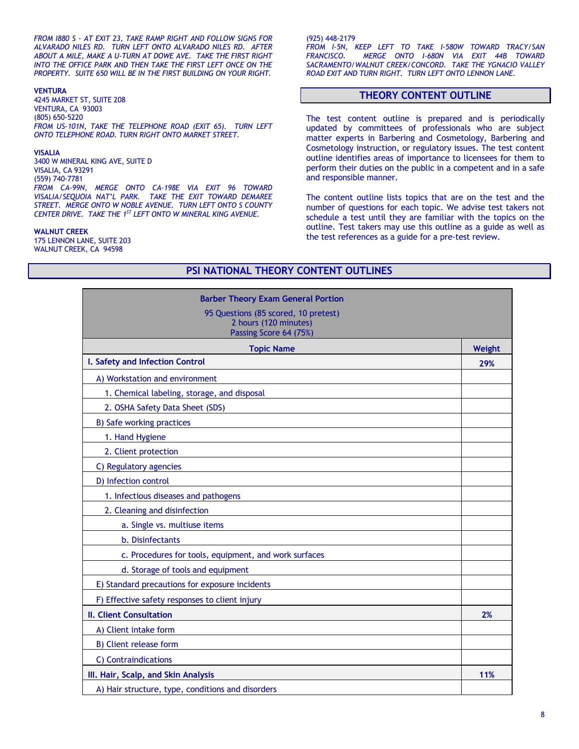*FROM I880 S - AT EXIT 23, TAKE RAMP RIGHT AND FOLLOW SIGNS FOR ALVARADO NILES RD. TURN LEFT ONTO ALVARADO NILES RD. AFTER ABOUT A MILE, MAKE A U-TURN AT DOWE AVE. TAKE THE FIRST RIGHT INTO THE OFFICE PARK AND THEN TAKE THE FIRST LEFT ONCE ON THE PROPERTY. SUITE 650 WILL BE IN THE FIRST BUILDING ON YOUR RIGHT.*

#### **VENTURA**

4245 MARKET ST, SUITE 208 VENTURA, CA 93003 (805) 650-5220 *FROM US-101N, TAKE THE TELEPHONE ROAD (EXIT 65). TURN LEFT ONTO TELEPHONE ROAD. TURN RIGHT ONTO MARKET STREET.*

#### **VISALIA**

3400 W MINERAL KING AVE, SUITE D VISALIA, CA 93291 (559) 740-7781 *FROM CA-99N, MERGE ONTO CA-198E VIA EXIT 96 TOWARD VISALIA/SEQUOIA NAT'L PARK. TAKE THE EXIT TOWARD DEMAREE STREET. MERGE ONTO W NOBLE AVENUE. TURN LEFT ONTO S COUNTY CENTER DRIVE. TAKE THE 1ST LEFT ONTO W MINERAL KING AVENUE.*

#### **WALNUT CREEK**

175 LENNON LANE, SUITE 203 WALNUT CREEK, CA 94598

(925) 448-2179

*FROM I-5N, KEEP LEFT TO TAKE I-580W TOWARD TRACY/SAN FRANCISCO. MERGE ONTO I-680N VIA EXIT 44B TOWARD SACRAMENTO/WALNUT CREEK/CONCORD. TAKE THE YGNACIO VALLEY ROAD EXIT AND TURN RIGHT. TURN LEFT ONTO LENNON LANE.*

#### **THEORY CONTENT OUTLINE**

The test content outline is prepared and is periodically updated by committees of professionals who are subject matter experts in Barbering and Cosmetology, Barbering and Cosmetology instruction, or regulatory issues. The test content outline identifies areas of importance to licensees for them to perform their duties on the public in a competent and in a safe and responsible manner.

The content outline lists topics that are on the test and the number of questions for each topic. We advise test takers not schedule a test until they are familiar with the topics on the outline. Test takers may use this outline as a guide as well as the test references as a guide for a pre-test review.

## **Barber Theory Exam General Portion** 95 Questions (85 scored, 10 pretest) 2 hours (120 minutes) Passing Score 64 (75%) **Topic Name Weight I. Safety and Infection Control 29%** A) Workstation and environment 1. Chemical labeling, storage, and disposal 2. OSHA Safety Data Sheet (SDS) B) Safe working practices 1. Hand Hygiene 2. Client protection C) Regulatory agencies D) Infection control 1. Infectious diseases and pathogens 2. Cleaning and disinfection a. Single vs. multiuse items b. Disinfectants c. Procedures for tools, equipment, and work surfaces d. Storage of tools and equipment E) Standard precautions for exposure incidents F) Effective safety responses to client injury **II. Client Consultation 2%** A) Client intake form B) Client release form C) Contraindications **III. Hair, Scalp, and Skin Analysis 11%** A) Hair structure, type, conditions and disorders

**PSI NATIONAL THEORY CONTENT OUTLINES**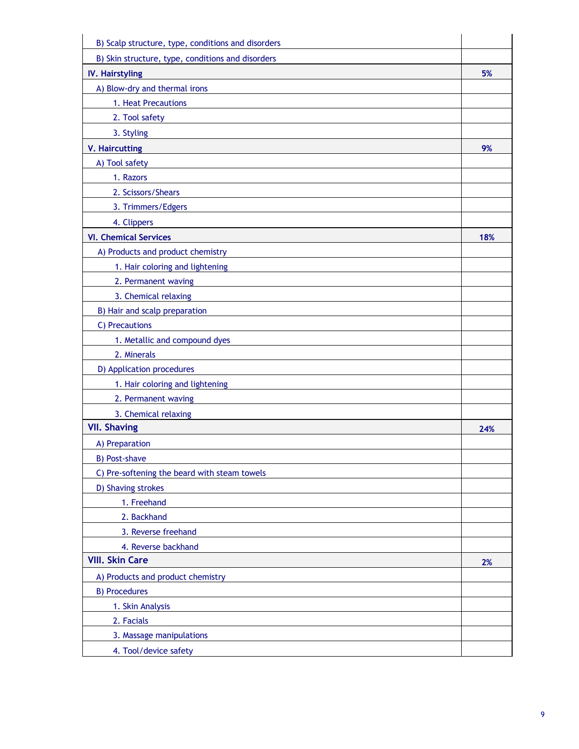| B) Scalp structure, type, conditions and disorders |     |
|----------------------------------------------------|-----|
| B) Skin structure, type, conditions and disorders  |     |
| <b>IV. Hairstyling</b>                             | 5%  |
| A) Blow-dry and thermal irons                      |     |
| 1. Heat Precautions                                |     |
| 2. Tool safety                                     |     |
| 3. Styling                                         |     |
| <b>V. Haircutting</b>                              | 9%  |
| A) Tool safety                                     |     |
| 1. Razors                                          |     |
| 2. Scissors/Shears                                 |     |
| 3. Trimmers/Edgers                                 |     |
| 4. Clippers                                        |     |
| <b>VI. Chemical Services</b>                       | 18% |
| A) Products and product chemistry                  |     |
| 1. Hair coloring and lightening                    |     |
| 2. Permanent waving                                |     |
| 3. Chemical relaxing                               |     |
| B) Hair and scalp preparation                      |     |
| C) Precautions                                     |     |
| 1. Metallic and compound dyes                      |     |
| 2. Minerals                                        |     |
| D) Application procedures                          |     |
| 1. Hair coloring and lightening                    |     |
| 2. Permanent waving                                |     |
| 3. Chemical relaxing                               |     |
| <b>VII. Shaving</b>                                | 24% |
| A) Preparation                                     |     |
| <b>B) Post-shave</b>                               |     |
| C) Pre-softening the beard with steam towels       |     |
| D) Shaving strokes                                 |     |
| 1. Freehand                                        |     |
| 2. Backhand                                        |     |
| 3. Reverse freehand                                |     |
| 4. Reverse backhand                                |     |
| <b>VIII. Skin Care</b>                             | 2%  |
| A) Products and product chemistry                  |     |
| <b>B) Procedures</b>                               |     |
| 1. Skin Analysis                                   |     |
| 2. Facials                                         |     |
| 3. Massage manipulations                           |     |
| 4. Tool/device safety                              |     |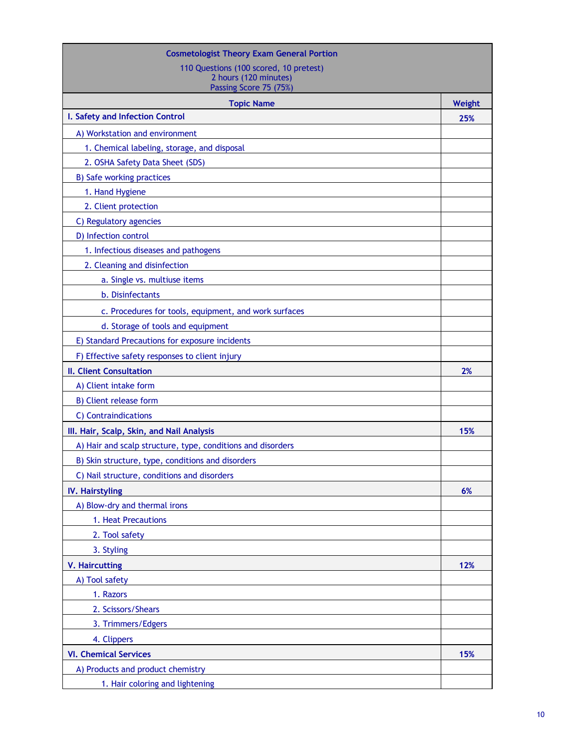| <b>Cosmetologist Theory Exam General Portion</b>            |        |
|-------------------------------------------------------------|--------|
| 110 Questions (100 scored, 10 pretest)                      |        |
| 2 hours (120 minutes)<br>Passing Score 75 (75%)             |        |
| <b>Topic Name</b>                                           | Weight |
| I. Safety and Infection Control                             | 25%    |
| A) Workstation and environment                              |        |
| 1. Chemical labeling, storage, and disposal                 |        |
| 2. OSHA Safety Data Sheet (SDS)                             |        |
| B) Safe working practices                                   |        |
| 1. Hand Hygiene                                             |        |
| 2. Client protection                                        |        |
| C) Regulatory agencies                                      |        |
| D) Infection control                                        |        |
| 1. Infectious diseases and pathogens                        |        |
| 2. Cleaning and disinfection                                |        |
| a. Single vs. multiuse items                                |        |
| b. Disinfectants                                            |        |
| c. Procedures for tools, equipment, and work surfaces       |        |
| d. Storage of tools and equipment                           |        |
| E) Standard Precautions for exposure incidents              |        |
| F) Effective safety responses to client injury              |        |
| <b>II. Client Consultation</b>                              | 2%     |
| A) Client intake form                                       |        |
| B) Client release form                                      |        |
| C) Contraindications                                        |        |
| III. Hair, Scalp, Skin, and Nail Analysis                   | 15%    |
| A) Hair and scalp structure, type, conditions and disorders |        |
| B) Skin structure, type, conditions and disorders           |        |
| C) Nail structure, conditions and disorders                 |        |
| <b>IV. Hairstyling</b>                                      | 6%     |
| A) Blow-dry and thermal irons                               |        |
| 1. Heat Precautions                                         |        |
| 2. Tool safety                                              |        |
| 3. Styling                                                  |        |
| <b>V. Haircutting</b>                                       | 12%    |
| A) Tool safety                                              |        |
| 1. Razors                                                   |        |
| 2. Scissors/Shears                                          |        |
| 3. Trimmers/Edgers                                          |        |
| 4. Clippers                                                 |        |
| <b>VI. Chemical Services</b>                                | 15%    |
| A) Products and product chemistry                           |        |
| 1. Hair coloring and lightening                             |        |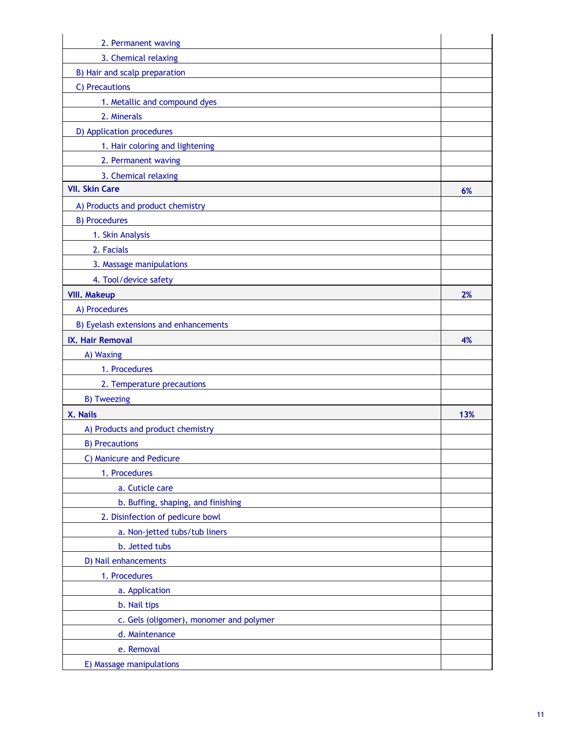| 2. Permanent waving                     |     |
|-----------------------------------------|-----|
| 3. Chemical relaxing                    |     |
| B) Hair and scalp preparation           |     |
| C) Precautions                          |     |
| 1. Metallic and compound dyes           |     |
| 2. Minerals                             |     |
| D) Application procedures               |     |
| 1. Hair coloring and lightening         |     |
| 2. Permanent waving                     |     |
| 3. Chemical relaxing                    |     |
| <b>VII. Skin Care</b>                   | 6%  |
| A) Products and product chemistry       |     |
| <b>B) Procedures</b>                    |     |
| 1. Skin Analysis                        |     |
| 2. Facials                              |     |
| 3. Massage manipulations                |     |
| 4. Tool/device safety                   |     |
| <b>VIII. Makeup</b>                     | 2%  |
| A) Procedures                           |     |
| B) Eyelash extensions and enhancements  |     |
| IX. Hair Removal                        | 4%  |
| A) Waxing                               |     |
| 1. Procedures                           |     |
| 2. Temperature precautions              |     |
| <b>B) Tweezing</b>                      |     |
| X. Nails                                | 13% |
| A) Products and product chemistry       |     |
| <b>B) Precautions</b>                   |     |
| C) Manicure and Pedicure                |     |
| 1. Procedures                           |     |
| a. Cuticle care                         |     |
| b. Buffing, shaping, and finishing      |     |
| 2. Disinfection of pedicure bowl        |     |
| a. Non-jetted tubs/tub liners           |     |
| b. Jetted tubs                          |     |
| D) Nail enhancements                    |     |
| 1. Procedures                           |     |
| a. Application                          |     |
| b. Nail tips                            |     |
| c. Gels (oligomer), monomer and polymer |     |
| d. Maintenance                          |     |
| e. Removal                              |     |
| E) Massage manipulations                |     |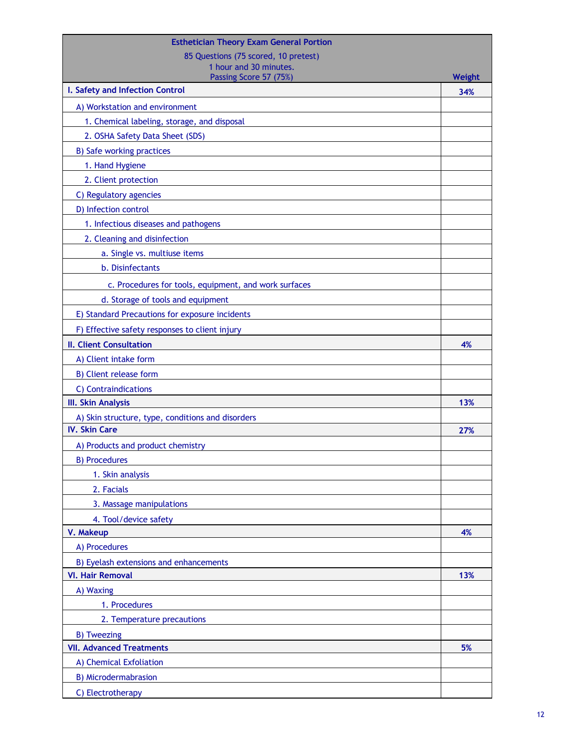| <b>Esthetician Theory Exam General Portion</b>        |        |
|-------------------------------------------------------|--------|
| 85 Questions (75 scored, 10 pretest)                  |        |
| 1 hour and 30 minutes.<br>Passing Score 57 (75%)      | Weight |
| I. Safety and Infection Control                       | 34%    |
| A) Workstation and environment                        |        |
| 1. Chemical labeling, storage, and disposal           |        |
| 2. OSHA Safety Data Sheet (SDS)                       |        |
| <b>B) Safe working practices</b>                      |        |
| 1. Hand Hygiene                                       |        |
| 2. Client protection                                  |        |
| C) Regulatory agencies                                |        |
| D) Infection control                                  |        |
| 1. Infectious diseases and pathogens                  |        |
| 2. Cleaning and disinfection                          |        |
| a. Single vs. multiuse items                          |        |
| b. Disinfectants                                      |        |
| c. Procedures for tools, equipment, and work surfaces |        |
| d. Storage of tools and equipment                     |        |
| E) Standard Precautions for exposure incidents        |        |
| F) Effective safety responses to client injury        |        |
| <b>II. Client Consultation</b>                        | 4%     |
| A) Client intake form                                 |        |
| B) Client release form                                |        |
| C) Contraindications                                  |        |
| <b>III. Skin Analysis</b>                             | 13%    |
| A) Skin structure, type, conditions and disorders     |        |
| <b>IV. Skin Care</b>                                  | 27%    |
| A) Products and product chemistry                     |        |
| <b>B</b> ) Procedures                                 |        |
| 1. Skin analysis                                      |        |
| 2. Facials                                            |        |
| 3. Massage manipulations                              |        |
| 4. Tool/device safety                                 |        |
| V. Makeup                                             | 4%     |
| A) Procedures                                         |        |
| B) Eyelash extensions and enhancements                |        |
| <b>VI. Hair Removal</b>                               | 13%    |
| A) Waxing                                             |        |
| 1. Procedures                                         |        |
| 2. Temperature precautions                            |        |
| <b>B) Tweezing</b>                                    |        |
| <b>VII. Advanced Treatments</b>                       | 5%     |
| A) Chemical Exfoliation                               |        |
| <b>B) Microdermabrasion</b>                           |        |
| C) Electrotherapy                                     |        |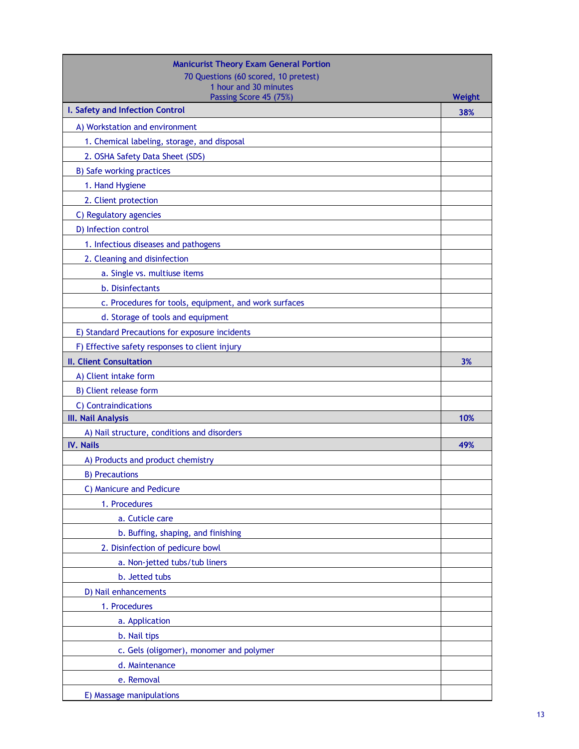| 70 Questions (60 scored, 10 pretest)<br>1 hour and 30 minutes<br>Passing Score 45 (75%)<br>Weight<br>I. Safety and Infection Control<br>38%<br>A) Workstation and environment<br>1. Chemical labeling, storage, and disposal<br>2. OSHA Safety Data Sheet (SDS)<br>B) Safe working practices<br>1. Hand Hygiene |
|-----------------------------------------------------------------------------------------------------------------------------------------------------------------------------------------------------------------------------------------------------------------------------------------------------------------|
|                                                                                                                                                                                                                                                                                                                 |
|                                                                                                                                                                                                                                                                                                                 |
|                                                                                                                                                                                                                                                                                                                 |
|                                                                                                                                                                                                                                                                                                                 |
|                                                                                                                                                                                                                                                                                                                 |
|                                                                                                                                                                                                                                                                                                                 |
|                                                                                                                                                                                                                                                                                                                 |
|                                                                                                                                                                                                                                                                                                                 |
| 2. Client protection                                                                                                                                                                                                                                                                                            |
| C) Regulatory agencies                                                                                                                                                                                                                                                                                          |
| D) Infection control                                                                                                                                                                                                                                                                                            |
| 1. Infectious diseases and pathogens                                                                                                                                                                                                                                                                            |
| 2. Cleaning and disinfection                                                                                                                                                                                                                                                                                    |
| a. Single vs. multiuse items                                                                                                                                                                                                                                                                                    |
| b. Disinfectants                                                                                                                                                                                                                                                                                                |
| c. Procedures for tools, equipment, and work surfaces                                                                                                                                                                                                                                                           |
| d. Storage of tools and equipment                                                                                                                                                                                                                                                                               |
| E) Standard Precautions for exposure incidents                                                                                                                                                                                                                                                                  |
| F) Effective safety responses to client injury                                                                                                                                                                                                                                                                  |
| <b>II. Client Consultation</b><br>3%                                                                                                                                                                                                                                                                            |
| A) Client intake form                                                                                                                                                                                                                                                                                           |
| B) Client release form                                                                                                                                                                                                                                                                                          |
| C) Contraindications                                                                                                                                                                                                                                                                                            |
| III. Nail Analysis<br>10%                                                                                                                                                                                                                                                                                       |
| A) Nail structure, conditions and disorders                                                                                                                                                                                                                                                                     |
| <b>IV. Nails</b><br>49%                                                                                                                                                                                                                                                                                         |
| A) Products and product chemistry                                                                                                                                                                                                                                                                               |
| <b>B) Precautions</b>                                                                                                                                                                                                                                                                                           |
| C) Manicure and Pedicure                                                                                                                                                                                                                                                                                        |
| 1. Procedures                                                                                                                                                                                                                                                                                                   |
| a. Cuticle care                                                                                                                                                                                                                                                                                                 |
| b. Buffing, shaping, and finishing                                                                                                                                                                                                                                                                              |
| 2. Disinfection of pedicure bowl                                                                                                                                                                                                                                                                                |
| a. Non-jetted tubs/tub liners                                                                                                                                                                                                                                                                                   |
| b. Jetted tubs                                                                                                                                                                                                                                                                                                  |
| D) Nail enhancements                                                                                                                                                                                                                                                                                            |
| 1. Procedures                                                                                                                                                                                                                                                                                                   |
| a. Application                                                                                                                                                                                                                                                                                                  |
| b. Nail tips                                                                                                                                                                                                                                                                                                    |
| c. Gels (oligomer), monomer and polymer                                                                                                                                                                                                                                                                         |
| d. Maintenance                                                                                                                                                                                                                                                                                                  |
| e. Removal                                                                                                                                                                                                                                                                                                      |
| E) Massage manipulations                                                                                                                                                                                                                                                                                        |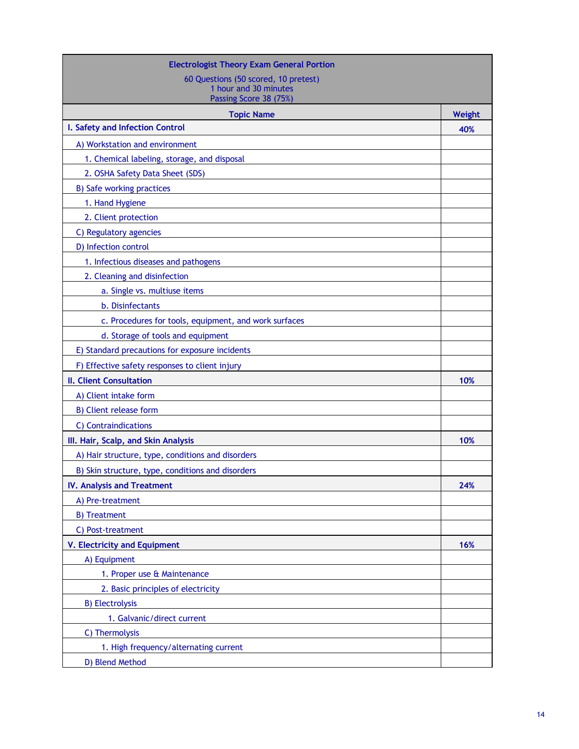| <b>Electrologist Theory Exam General Portion</b>      |        |
|-------------------------------------------------------|--------|
| 60 Questions (50 scored, 10 pretest)                  |        |
| 1 hour and 30 minutes<br>Passing Score 38 (75%)       |        |
| <b>Topic Name</b>                                     | Weight |
| I. Safety and Infection Control                       | 40%    |
| A) Workstation and environment                        |        |
| 1. Chemical labeling, storage, and disposal           |        |
| 2. OSHA Safety Data Sheet (SDS)                       |        |
| B) Safe working practices                             |        |
| 1. Hand Hygiene                                       |        |
| 2. Client protection                                  |        |
| C) Regulatory agencies                                |        |
| D) Infection control                                  |        |
| 1. Infectious diseases and pathogens                  |        |
| 2. Cleaning and disinfection                          |        |
| a. Single vs. multiuse items                          |        |
| b. Disinfectants                                      |        |
| c. Procedures for tools, equipment, and work surfaces |        |
| d. Storage of tools and equipment                     |        |
| E) Standard precautions for exposure incidents        |        |
| F) Effective safety responses to client injury        |        |
| II. Client Consultation                               | 10%    |
| A) Client intake form                                 |        |
| B) Client release form                                |        |
| C) Contraindications                                  |        |
| III. Hair, Scalp, and Skin Analysis                   | 10%    |
| A) Hair structure, type, conditions and disorders     |        |
| B) Skin structure, type, conditions and disorders     |        |
| <b>IV. Analysis and Treatment</b>                     | 24%    |
| A) Pre-treatment                                      |        |
| <b>B)</b> Treatment                                   |        |
| C) Post-treatment                                     |        |
| <b>V. Electricity and Equipment</b>                   | 16%    |
| A) Equipment                                          |        |
| 1. Proper use & Maintenance                           |        |
| 2. Basic principles of electricity                    |        |
| <b>B)</b> Electrolysis                                |        |
| 1. Galvanic/direct current                            |        |
| C) Thermolysis                                        |        |
| 1. High frequency/alternating current                 |        |
| D) Blend Method                                       |        |